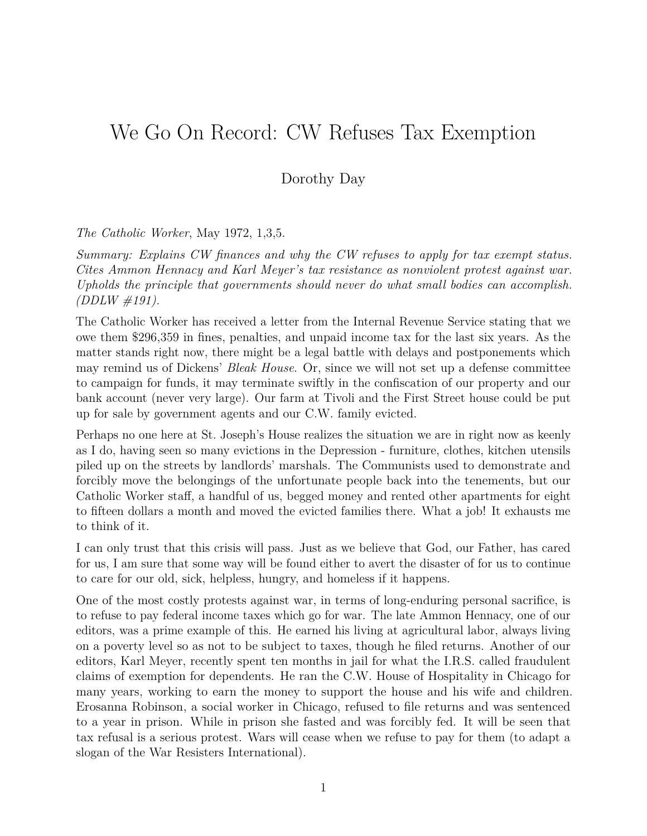## We Go On Record: CW Refuses Tax Exemption

## Dorothy Day

*The Catholic Worker*, May 1972, 1,3,5.

*Summary: Explains CW finances and why the CW refuses to apply for tax exempt status. Cites Ammon Hennacy and Karl Meyer's tax resistance as nonviolent protest against war. Upholds the principle that governments should never do what small bodies can accomplish. (DDLW #191).*

The Catholic Worker has received a letter from the Internal Revenue Service stating that we owe them \$296,359 in fines, penalties, and unpaid income tax for the last six years. As the matter stands right now, there might be a legal battle with delays and postponements which may remind us of Dickens' *Bleak House*. Or, since we will not set up a defense committee to campaign for funds, it may terminate swiftly in the confiscation of our property and our bank account (never very large). Our farm at Tivoli and the First Street house could be put up for sale by government agents and our C.W. family evicted.

Perhaps no one here at St. Joseph's House realizes the situation we are in right now as keenly as I do, having seen so many evictions in the Depression - furniture, clothes, kitchen utensils piled up on the streets by landlords' marshals. The Communists used to demonstrate and forcibly move the belongings of the unfortunate people back into the tenements, but our Catholic Worker staff, a handful of us, begged money and rented other apartments for eight to fifteen dollars a month and moved the evicted families there. What a job! It exhausts me to think of it.

I can only trust that this crisis will pass. Just as we believe that God, our Father, has cared for us, I am sure that some way will be found either to avert the disaster of for us to continue to care for our old, sick, helpless, hungry, and homeless if it happens.

One of the most costly protests against war, in terms of long-enduring personal sacrifice, is to refuse to pay federal income taxes which go for war. The late Ammon Hennacy, one of our editors, was a prime example of this. He earned his living at agricultural labor, always living on a poverty level so as not to be subject to taxes, though he filed returns. Another of our editors, Karl Meyer, recently spent ten months in jail for what the I.R.S. called fraudulent claims of exemption for dependents. He ran the C.W. House of Hospitality in Chicago for many years, working to earn the money to support the house and his wife and children. Erosanna Robinson, a social worker in Chicago, refused to file returns and was sentenced to a year in prison. While in prison she fasted and was forcibly fed. It will be seen that tax refusal is a serious protest. Wars will cease when we refuse to pay for them (to adapt a slogan of the War Resisters International).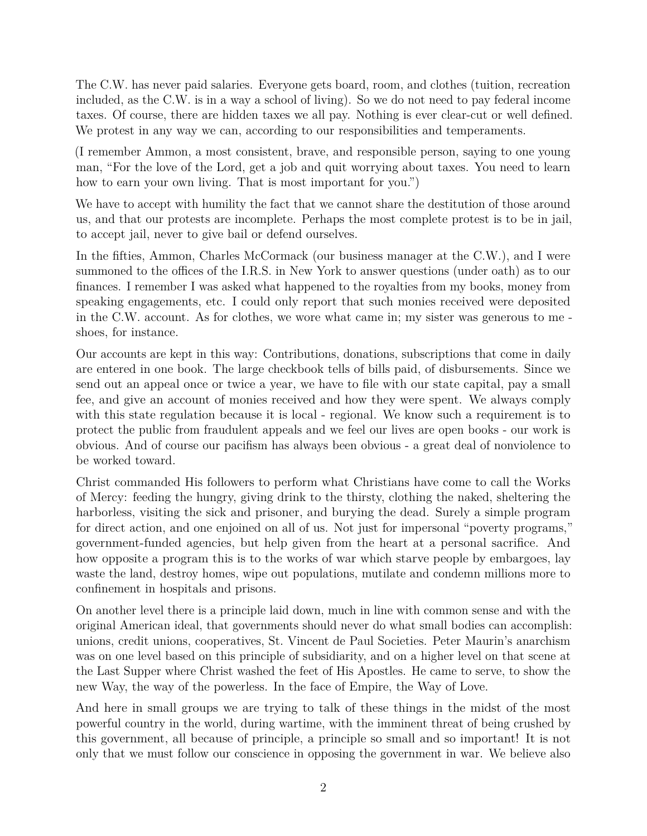The C.W. has never paid salaries. Everyone gets board, room, and clothes (tuition, recreation included, as the C.W. is in a way a school of living). So we do not need to pay federal income taxes. Of course, there are hidden taxes we all pay. Nothing is ever clear-cut or well defined. We protest in any way we can, according to our responsibilities and temperaments.

(I remember Ammon, a most consistent, brave, and responsible person, saying to one young man, "For the love of the Lord, get a job and quit worrying about taxes. You need to learn how to earn your own living. That is most important for you."

We have to accept with humility the fact that we cannot share the destitution of those around us, and that our protests are incomplete. Perhaps the most complete protest is to be in jail, to accept jail, never to give bail or defend ourselves.

In the fifties, Ammon, Charles McCormack (our business manager at the C.W.), and I were summoned to the offices of the I.R.S. in New York to answer questions (under oath) as to our finances. I remember I was asked what happened to the royalties from my books, money from speaking engagements, etc. I could only report that such monies received were deposited in the C.W. account. As for clothes, we wore what came in; my sister was generous to me shoes, for instance.

Our accounts are kept in this way: Contributions, donations, subscriptions that come in daily are entered in one book. The large checkbook tells of bills paid, of disbursements. Since we send out an appeal once or twice a year, we have to file with our state capital, pay a small fee, and give an account of monies received and how they were spent. We always comply with this state regulation because it is local - regional. We know such a requirement is to protect the public from fraudulent appeals and we feel our lives are open books - our work is obvious. And of course our pacifism has always been obvious - a great deal of nonviolence to be worked toward.

Christ commanded His followers to perform what Christians have come to call the Works of Mercy: feeding the hungry, giving drink to the thirsty, clothing the naked, sheltering the harborless, visiting the sick and prisoner, and burying the dead. Surely a simple program for direct action, and one enjoined on all of us. Not just for impersonal "poverty programs," government-funded agencies, but help given from the heart at a personal sacrifice. And how opposite a program this is to the works of war which starve people by embargoes, lay waste the land, destroy homes, wipe out populations, mutilate and condemn millions more to confinement in hospitals and prisons.

On another level there is a principle laid down, much in line with common sense and with the original American ideal, that governments should never do what small bodies can accomplish: unions, credit unions, cooperatives, St. Vincent de Paul Societies. Peter Maurin's anarchism was on one level based on this principle of subsidiarity, and on a higher level on that scene at the Last Supper where Christ washed the feet of His Apostles. He came to serve, to show the new Way, the way of the powerless. In the face of Empire, the Way of Love.

And here in small groups we are trying to talk of these things in the midst of the most powerful country in the world, during wartime, with the imminent threat of being crushed by this government, all because of principle, a principle so small and so important! It is not only that we must follow our conscience in opposing the government in war. We believe also